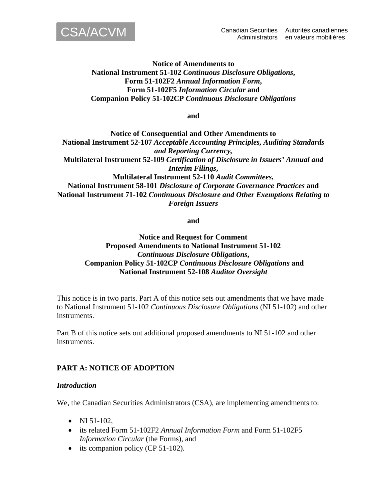

### **Notice of Amendments to National Instrument 51-102** *Continuous Disclosure Obligations***, Form 51-102F2** *Annual Information Form***, Form 51-102F5** *Information Circular* **and Companion Policy 51-102CP** *Continuous Disclosure Obligations*

**and** 

**Notice of Consequential and Other Amendments to National Instrument 52-107** *Acceptable Accounting Principles, Auditing Standards and Reporting Currency,* **Multilateral Instrument 52-109** *Certification of Disclosure in Issuers' Annual and Interim Filings***, Multilateral Instrument 52-110** *Audit Committees***, National Instrument 58-101** *Disclosure of Corporate Governance Practices* **and National Instrument 71-102** *Continuous Disclosure and Other Exemptions Relating to Foreign Issuers* 

**and** 

### **Notice and Request for Comment Proposed Amendments to National Instrument 51-102**  *Continuous Disclosure Obligations***, Companion Policy 51-102CP** *Continuous Disclosure Obligations* **and National Instrument 52-108** *Auditor Oversight*

This notice is in two parts. Part A of this notice sets out amendments that we have made to National Instrument 51-102 *Continuous Disclosure Obligations* (NI 51-102) and other instruments.

Part B of this notice sets out additional proposed amendments to NI 51-102 and other instruments.

# **PART A: NOTICE OF ADOPTION**

#### *Introduction*

We, the Canadian Securities Administrators (CSA), are implementing amendments to:

- NI  $51-102$ .
- its related Form 51-102F2 *Annual Information Form* and Form 51-102F5 *Information Circular* (the Forms), and
- its companion policy (CP 51-102).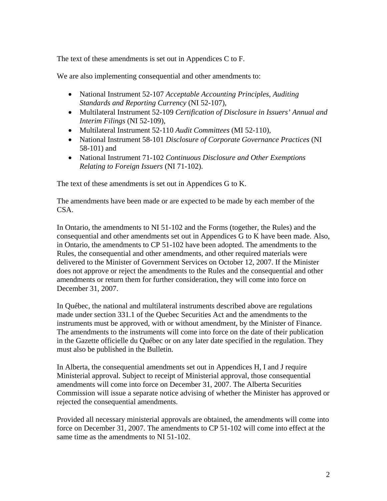The text of these amendments is set out in Appendices C to F.

We are also implementing consequential and other amendments to:

- National Instrument 52-107 *Acceptable Accounting Principles, Auditing Standards and Reporting Currency* (NI 52-107),
- Multilateral Instrument 52-109 *Certification of Disclosure in Issuers' Annual and Interim Filings* (NI 52-109),
- Multilateral Instrument 52-110 *Audit Committees* (MI 52-110),
- National Instrument 58-101 *Disclosure of Corporate Governance Practices* (NI 58-101) and
- National Instrument 71-102 *Continuous Disclosure and Other Exemptions Relating to Foreign Issuers* (NI 71-102).

The text of these amendments is set out in Appendices G to K.

The amendments have been made or are expected to be made by each member of the CSA.

In Ontario, the amendments to NI 51-102 and the Forms (together, the Rules) and the consequential and other amendments set out in Appendices G to K have been made. Also, in Ontario, the amendments to CP 51-102 have been adopted. The amendments to the Rules, the consequential and other amendments, and other required materials were delivered to the Minister of Government Services on October 12, 2007. If the Minister does not approve or reject the amendments to the Rules and the consequential and other amendments or return them for further consideration, they will come into force on December 31, 2007.

In Québec, the national and multilateral instruments described above are regulations made under section 331.1 of the Quebec Securities Act and the amendments to the instruments must be approved, with or without amendment, by the Minister of Finance. The amendments to the instruments will come into force on the date of their publication in the Gazette officielle du Québec or on any later date specified in the regulation. They must also be published in the Bulletin.

In Alberta, the consequential amendments set out in Appendices H, I and J require Ministerial approval. Subject to receipt of Ministerial approval, those consequential amendments will come into force on December 31, 2007. The Alberta Securities Commission will issue a separate notice advising of whether the Minister has approved or rejected the consequential amendments.

Provided all necessary ministerial approvals are obtained, the amendments will come into force on December 31, 2007. The amendments to CP 51-102 will come into effect at the same time as the amendments to NI 51-102.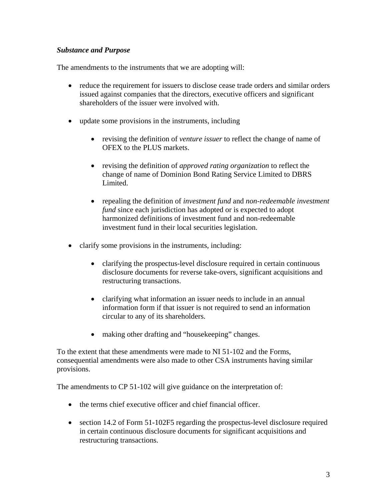# *Substance and Purpose*

The amendments to the instruments that we are adopting will:

- reduce the requirement for issuers to disclose cease trade orders and similar orders issued against companies that the directors, executive officers and significant shareholders of the issuer were involved with.
- update some provisions in the instruments, including
	- revising the definition of *venture issuer* to reflect the change of name of OFEX to the PLUS markets.
	- revising the definition of *approved rating organization* to reflect the change of name of Dominion Bond Rating Service Limited to DBRS Limited.
	- repealing the definition of *investment fund* and *non-redeemable investment fund* since each jurisdiction has adopted or is expected to adopt harmonized definitions of investment fund and non-redeemable investment fund in their local securities legislation.
- clarify some provisions in the instruments, including:
	- clarifying the prospectus-level disclosure required in certain continuous disclosure documents for reverse take-overs, significant acquisitions and restructuring transactions.
	- clarifying what information an issuer needs to include in an annual information form if that issuer is not required to send an information circular to any of its shareholders.
	- making other drafting and "house keeping" changes.

To the extent that these amendments were made to NI 51-102 and the Forms, consequential amendments were also made to other CSA instruments having similar provisions.

The amendments to CP 51-102 will give guidance on the interpretation of:

- the terms chief executive officer and chief financial officer.
- section 14.2 of Form 51-102F5 regarding the prospectus-level disclosure required in certain continuous disclosure documents for significant acquisitions and restructuring transactions.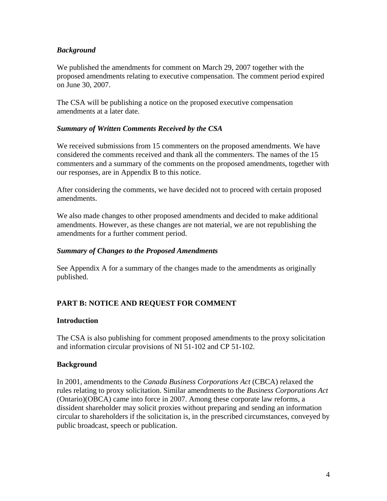# *Background*

We published the amendments for comment on March 29, 2007 together with the proposed amendments relating to executive compensation. The comment period expired on June 30, 2007.

The CSA will be publishing a notice on the proposed executive compensation amendments at a later date.

# *Summary of Written Comments Received by the CSA*

We received submissions from 15 commenters on the proposed amendments. We have considered the comments received and thank all the commenters. The names of the 15 commenters and a summary of the comments on the proposed amendments, together with our responses, are in Appendix B to this notice.

After considering the comments, we have decided not to proceed with certain proposed amendments.

We also made changes to other proposed amendments and decided to make additional amendments. However, as these changes are not material, we are not republishing the amendments for a further comment period.

# *Summary of Changes to the Proposed Amendments*

See Appendix A for a summary of the changes made to the amendments as originally published.

# **PART B: NOTICE AND REQUEST FOR COMMENT**

#### **Introduction**

The CSA is also publishing for comment proposed amendments to the proxy solicitation and information circular provisions of NI 51-102 and CP 51-102.

# **Background**

In 2001, amendments to the *Canada Business Corporations Act* (CBCA) relaxed the rules relating to proxy solicitation. Similar amendments to the *Business Corporations Act* (Ontario)(OBCA) came into force in 2007. Among these corporate law reforms, a dissident shareholder may solicit proxies without preparing and sending an information circular to shareholders if the solicitation is, in the prescribed circumstances, conveyed by public broadcast, speech or publication.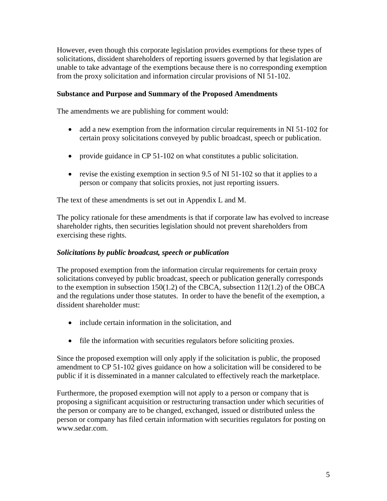However, even though this corporate legislation provides exemptions for these types of solicitations, dissident shareholders of reporting issuers governed by that legislation are unable to take advantage of the exemptions because there is no corresponding exemption from the proxy solicitation and information circular provisions of NI 51-102.

### **Substance and Purpose and Summary of the Proposed Amendments**

The amendments we are publishing for comment would:

- add a new exemption from the information circular requirements in NI 51-102 for certain proxy solicitations conveyed by public broadcast, speech or publication.
- provide guidance in CP 51-102 on what constitutes a public solicitation.
- revise the existing exemption in section 9.5 of NI 51-102 so that it applies to a person or company that solicits proxies, not just reporting issuers.

The text of these amendments is set out in Appendix L and M.

The policy rationale for these amendments is that if corporate law has evolved to increase shareholder rights, then securities legislation should not prevent shareholders from exercising these rights.

#### *Solicitations by public broadcast, speech or publication*

The proposed exemption from the information circular requirements for certain proxy solicitations conveyed by public broadcast, speech or publication generally corresponds to the exemption in subsection 150(1.2) of the CBCA, subsection 112(1.2) of the OBCA and the regulations under those statutes. In order to have the benefit of the exemption, a dissident shareholder must:

- include certain information in the solicitation, and
- file the information with securities regulators before soliciting proxies.

Since the proposed exemption will only apply if the solicitation is public, the proposed amendment to CP 51-102 gives guidance on how a solicitation will be considered to be public if it is disseminated in a manner calculated to effectively reach the marketplace.

Furthermore, the proposed exemption will not apply to a person or company that is proposing a significant acquisition or restructuring transaction under which securities of the person or company are to be changed, exchanged, issued or distributed unless the person or company has filed certain information with securities regulators for posting on www.sedar.com.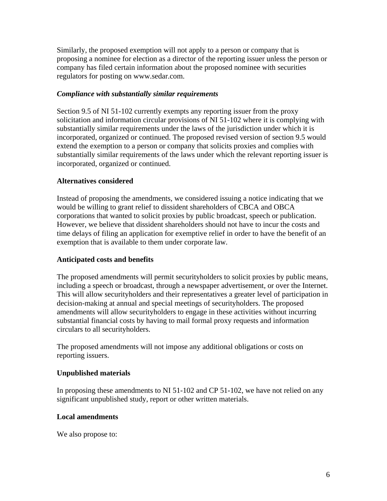Similarly, the proposed exemption will not apply to a person or company that is proposing a nominee for election as a director of the reporting issuer unless the person or company has filed certain information about the proposed nominee with securities regulators for posting on www.sedar.com.

### *Compliance with substantially similar requirements*

Section 9.5 of NI 51-102 currently exempts any reporting issuer from the proxy solicitation and information circular provisions of NI 51-102 where it is complying with substantially similar requirements under the laws of the jurisdiction under which it is incorporated, organized or continued. The proposed revised version of section 9.5 would extend the exemption to a person or company that solicits proxies and complies with substantially similar requirements of the laws under which the relevant reporting issuer is incorporated, organized or continued.

#### **Alternatives considered**

Instead of proposing the amendments, we considered issuing a notice indicating that we would be willing to grant relief to dissident shareholders of CBCA and OBCA corporations that wanted to solicit proxies by public broadcast, speech or publication. However, we believe that dissident shareholders should not have to incur the costs and time delays of filing an application for exemptive relief in order to have the benefit of an exemption that is available to them under corporate law.

# **Anticipated costs and benefits**

The proposed amendments will permit securityholders to solicit proxies by public means, including a speech or broadcast, through a newspaper advertisement, or over the Internet. This will allow securityholders and their representatives a greater level of participation in decision-making at annual and special meetings of securityholders. The proposed amendments will allow securityholders to engage in these activities without incurring substantial financial costs by having to mail formal proxy requests and information circulars to all securityholders.

The proposed amendments will not impose any additional obligations or costs on reporting issuers.

# **Unpublished materials**

In proposing these amendments to NI 51-102 and CP 51-102, we have not relied on any significant unpublished study, report or other written materials.

#### **Local amendments**

We also propose to: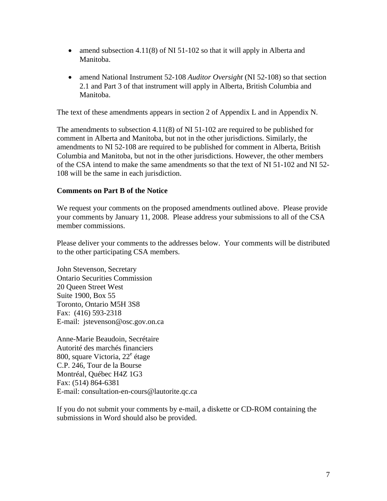- amend subsection 4.11(8) of NI 51-102 so that it will apply in Alberta and Manitoba.
- amend National Instrument 52-108 *Auditor Oversight* (NI 52-108) so that section 2.1 and Part 3 of that instrument will apply in Alberta, British Columbia and Manitoba.

The text of these amendments appears in section 2 of Appendix L and in Appendix N.

The amendments to subsection 4.11(8) of NI 51-102 are required to be published for comment in Alberta and Manitoba, but not in the other jurisdictions. Similarly, the amendments to NI 52-108 are required to be published for comment in Alberta, British Columbia and Manitoba, but not in the other jurisdictions. However, the other members of the CSA intend to make the same amendments so that the text of NI 51-102 and NI 52- 108 will be the same in each jurisdiction.

# **Comments on Part B of the Notice**

We request your comments on the proposed amendments outlined above. Please provide your comments by January 11, 2008. Please address your submissions to all of the CSA member commissions.

Please deliver your comments to the addresses below. Your comments will be distributed to the other participating CSA members.

John Stevenson, Secretary Ontario Securities Commission 20 Queen Street West Suite 1900, Box 55 Toronto, Ontario M5H 3S8 Fax: (416) 593-2318 E-mail: jstevenson@osc.gov.on.ca

Anne-Marie Beaudoin, Secrétaire Autorité des marchés financiers 800, square Victoria, 22<sup>e</sup> étage C.P. 246, Tour de la Bourse Montréal, Québec H4Z 1G3 Fax: (514) 864-6381 E-mail: consultation-en-cours@lautorite.qc.ca

If you do not submit your comments by e-mail, a diskette or CD-ROM containing the submissions in Word should also be provided.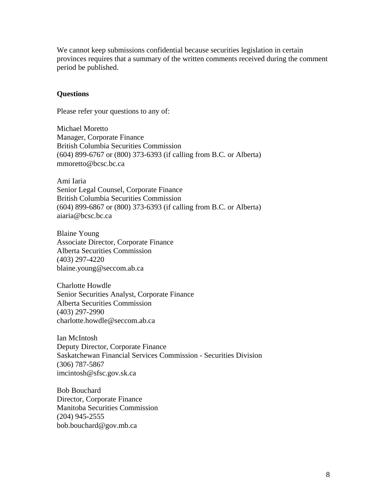We cannot keep submissions confidential because securities legislation in certain provinces requires that a summary of the written comments received during the comment period be published.

#### **Questions**

Please refer your questions to any of:

Michael Moretto Manager, Corporate Finance British Columbia Securities Commission (604) 899-6767 or (800) 373-6393 (if calling from B.C. or Alberta) mmoretto@bcsc.bc.ca

Ami Iaria Senior Legal Counsel, Corporate Finance British Columbia Securities Commission (604) 899-6867 or (800) 373-6393 (if calling from B.C. or Alberta) aiaria@bcsc.bc.ca

Blaine Young Associate Director, Corporate Finance Alberta Securities Commission (403) 297-4220 blaine.young@seccom.ab.ca

Charlotte Howdle Senior Securities Analyst, Corporate Finance Alberta Securities Commission (403) 297-2990 [charlotte.howdle@seccom.ab.ca](mailto:charlotte.howdle@seccom.ab.ca)

Ian McIntosh Deputy Director, Corporate Finance Saskatchewan Financial Services Commission - Securities Division (306) 787-5867 imcintosh@sfsc.gov.sk.ca

Bob Bouchard Director, Corporate Finance Manitoba Securities Commission (204) 945-2555 bob.bouchard@gov.mb.ca